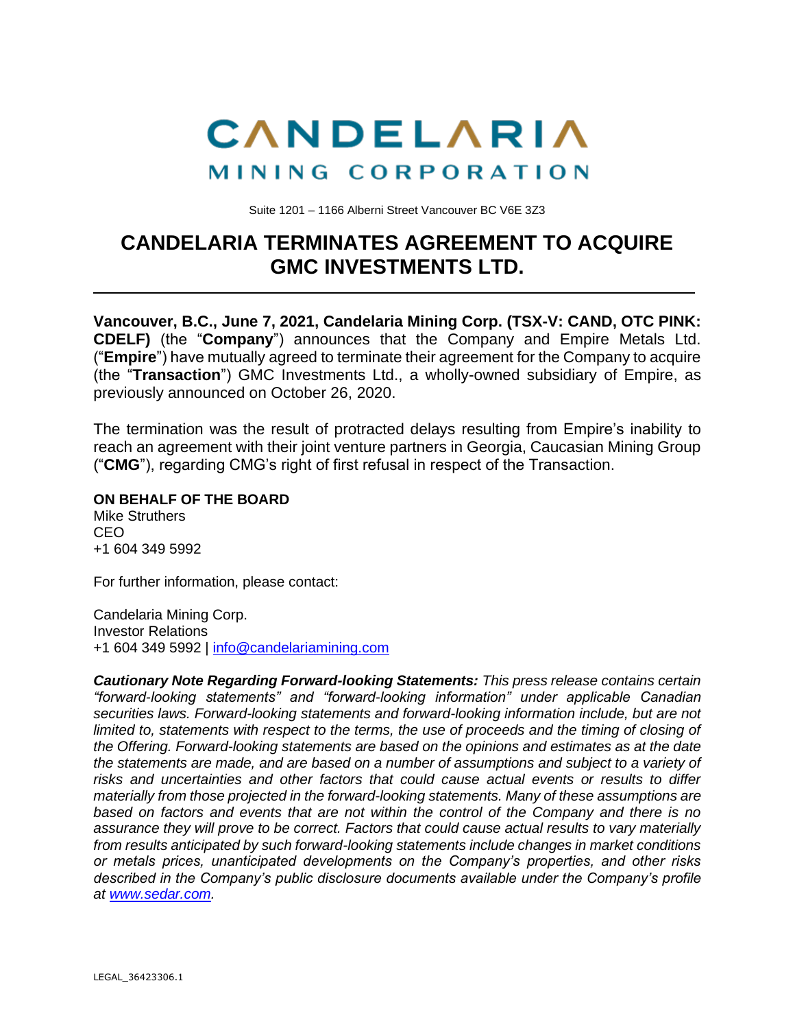

Suite 1201 – 1166 Alberni Street Vancouver BC V6E 3Z3

## **CANDELARIA TERMINATES AGREEMENT TO ACQUIRE GMC INVESTMENTS LTD.**

**Vancouver, B.C., June 7, 2021, Candelaria Mining Corp. (TSX-V: CAND, OTC PINK: CDELF)** (the "**Company**") announces that the Company and Empire Metals Ltd. ("**Empire**") have mutually agreed to terminate their agreement for the Company to acquire (the "**Transaction**") GMC Investments Ltd., a wholly-owned subsidiary of Empire, as previously announced on October 26, 2020.

The termination was the result of protracted delays resulting from Empire's inability to reach an agreement with their joint venture partners in Georgia, Caucasian Mining Group ("**CMG**"), regarding CMG's right of first refusal in respect of the Transaction.

**ON BEHALF OF THE BOARD**

Mike Struthers CEO +1 604 349 5992

For further information, please contact:

Candelaria Mining Corp. Investor Relations +1 604 349 5992 | [info@candelariamining.com](mailto:info@candelariamining.com)

*Cautionary Note Regarding Forward-looking Statements: This press release contains certain "forward-looking statements" and "forward-looking information" under applicable Canadian securities laws. Forward-looking statements and forward-looking information include, but are not limited to, statements with respect to the terms, the use of proceeds and the timing of closing of the Offering. Forward-looking statements are based on the opinions and estimates as at the date the statements are made, and are based on a number of assumptions and subject to a variety of risks and uncertainties and other factors that could cause actual events or results to differ materially from those projected in the forward-looking statements. Many of these assumptions are based on factors and events that are not within the control of the Company and there is no assurance they will prove to be correct. Factors that could cause actual results to vary materially from results anticipated by such forward-looking statements include changes in market conditions or metals prices, unanticipated developments on the Company's properties, and other risks described in the Company's public disclosure documents available under the Company's profile at [www.sedar.com.](http://www.sedar.com/)*